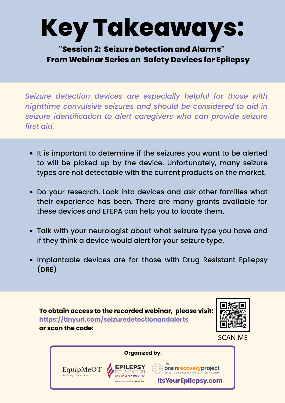# **Key Takeaways:**

**"Session 2: Seizure Detection and Alarms" From Webinar Series on Safety Devices for Epilepsy**

*Seizure detection devices are especially helpful for those with nighttime convulsive seizures and should be considered to aid in seizure identification to alert caregivers who can provide seizure first aid.*

- It is important to determine if the seizures you want to be alerted to will be picked up by the device. Unfortunately, many seizure types are not detectable with the current products on the market.
- Do your research. Look into devices and ask other families what their experience has been. There are many grants available for these devices and EFEPA can help you to locate them.
- Talk with your neurologist about what seizure type you have and if they think a device would alert for your seizure type.
- Implantable devices are for those with Drug Resistant Epilepsy (DRE)





**SCAN ME** 

**Organized by:**brainrecoveryproject EquipMeOT **D EPILEPSY TOGETHER Its Your Epilepsy.com ASTERN PENNSYLVANIA**